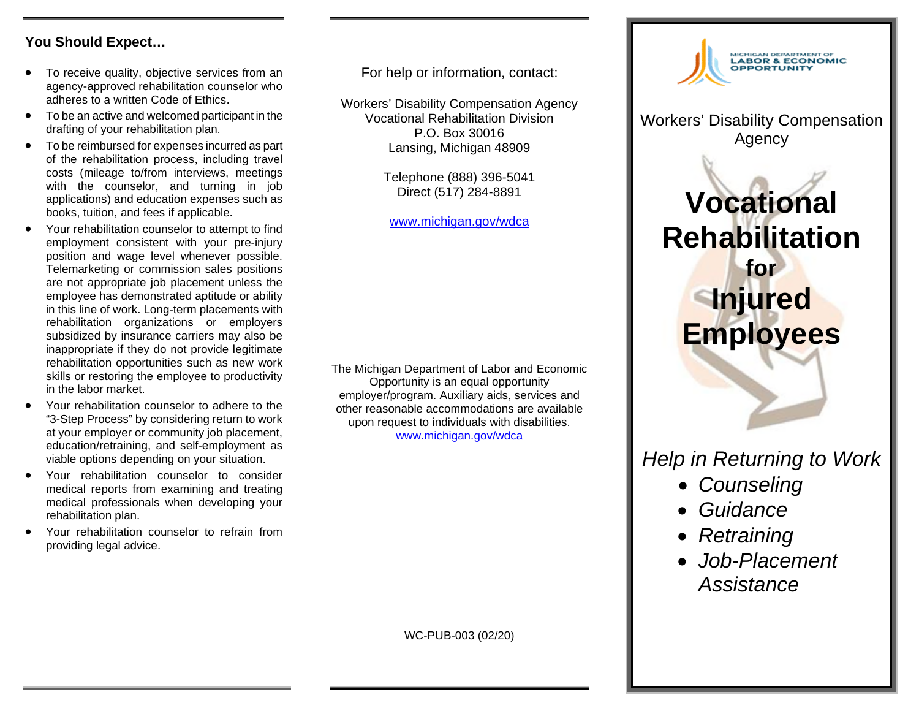#### **You Should Expect…**

- To receive quality, objective services from an agency-approved rehabilitation counselor who adheres to a written Code of Ethics.
- To be an active and welcomed participant in the drafting of your rehabilitation plan.
- To be reimbursed for expenses incurred as part of the rehabilitation process, including travel costs (mileage to/from interviews, meetings with the counselor, and turning in job applications) and education expenses such as books, tuition, and fees if applicable.
- Your rehabilitation counselor to attempt to find employment consistent with your pre-injury position and wage level whenever possible. Telemarketing or commission sales positions are not appropriate job placement unless the employee has demonstrated aptitude or ability in this line of work. Long-term placements with rehabilitation organizations or employers subsidized by insurance carriers may also be inappropriate if they do not provide legitimate rehabilitation opportunities such as new work skills or restoring the employee to productivity in the labor market.
- Your rehabilitation counselor to adhere to the "3-Step Process" by considering return to work at your employer or community job placement, education/retraining, and self-employment as viable options depending on your situation.
- Your rehabilitation counselor to consider medical reports from examining and treating medical professionals when developing your rehabilitation plan.
- Your rehabilitation counselor to refrain from providing legal advice.

For help or information, contact:

Workers' Disability Compensation Agency Vocational Rehabilitation Division P.O. Box 30016 Lansing, Michigan 48909

> Telephone (888) 396-5041 Direct (517) 284-8891

[www.michigan.gov/wdca](http://www.michigan.gov/wdca)

The Michigan Department of Labor and Economic Opportunity is an equal opportunity employer/program. Auxiliary aids, services and other reasonable accommodations are available upon request to individuals with disabilities. [www.michigan.gov/wdca](http://www.michigan.gov/wdca) 



Workers' Disability Compensation Agency

# **Vocational Rehabilitation for Injured Employees**

# *Help in Returning to Work*

- *Counseling*
- *Guidance*
- *Retraining*
- *Job-Placement Assistance*

WC-PUB-003 (02/20)